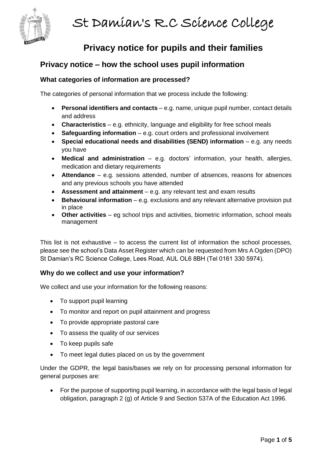

# **Privacy notice for pupils and their families**

# **Privacy notice – how the school uses pupil information**

# **What categories of information are processed?**

The categories of personal information that we process include the following:

- **Personal identifiers and contacts** e.g. name, unique pupil number, contact details and address
- **Characteristics** e.g. ethnicity, language and eligibility for free school meals
- **Safeguarding information** e.g. court orders and professional involvement
- **Special educational needs and disabilities (SEND) information** e.g. any needs you have
- **Medical and administration** e.g. doctors' information, your health, allergies, medication and dietary requirements
- **Attendance** e.g. sessions attended, number of absences, reasons for absences and any previous schools you have attended
- **Assessment and attainment** e.g. any relevant test and exam results
- **Behavioural information** e.g. exclusions and any relevant alternative provision put in place
- **Other activities**  eg school trips and activities, biometric information, school meals management

This list is not exhaustive – to access the current list of information the school processes, please see the school's Data Asset Register which can be requested from Mrs A Ogden (DPO) St Damian's RC Science College, Lees Road, AUL OL6 8BH (Tel 0161 330 5974).

### **Why do we collect and use your information?**

We collect and use your information for the following reasons:

- To support pupil learning
- To monitor and report on pupil attainment and progress
- To provide appropriate pastoral care
- To assess the quality of our services
- To keep pupils safe
- To meet legal duties placed on us by the government

Under the GDPR, the legal basis/bases we rely on for processing personal information for general purposes are:

• For the purpose of supporting pupil learning, in accordance with the legal basis of legal obligation, paragraph 2 (g) of Article 9 and Section 537A of the Education Act 1996.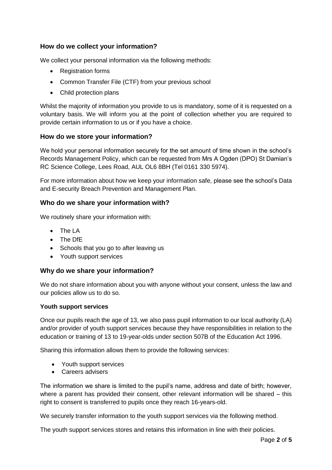# **How do we collect your information?**

We collect your personal information via the following methods:

- Registration forms
- Common Transfer File (CTF) from your previous school
- Child protection plans

Whilst the majority of information you provide to us is mandatory, some of it is requested on a voluntary basis. We will inform you at the point of collection whether you are required to provide certain information to us or if you have a choice.

### **How do we store your information?**

We hold your personal information securely for the set amount of time shown in the school's Records Management Policy, which can be requested from Mrs A Ogden (DPO) St Damian's RC Science College, Lees Road, AUL OL6 8BH (Tel 0161 330 5974).

For more information about how we keep your information safe, please see the school's Data and E-security Breach Prevention and Management Plan.

#### **Who do we share your information with?**

We routinely share your information with:

- The LA
- The DfE
- Schools that you go to after leaving us
- Youth support services

#### **Why do we share your information?**

We do not share information about you with anyone without your consent, unless the law and our policies allow us to do so.

#### **Youth support services**

Once our pupils reach the age of 13, we also pass pupil information to our local authority (LA) and/or provider of youth support services because they have responsibilities in relation to the education or training of 13 to 19-year-olds under section 507B of the Education Act 1996.

Sharing this information allows them to provide the following services:

- Youth support services
- Careers advisers

The information we share is limited to the pupil's name, address and date of birth; however, where a parent has provided their consent, other relevant information will be shared – this right to consent is transferred to pupils once they reach 16-years-old.

We securely transfer information to the youth support services via the following method.

The youth support services stores and retains this information in line with their policies.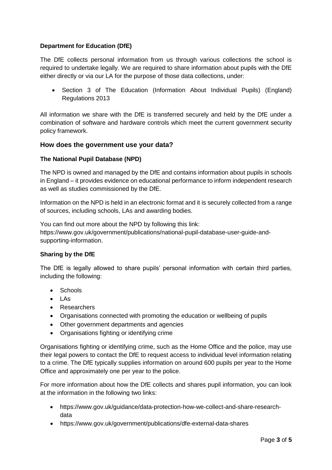# **Department for Education (DfE)**

The DfE collects personal information from us through various collections the school is required to undertake legally. We are required to share information about pupils with the DfE either directly or via our LA for the purpose of those data collections, under:

• Section 3 of The Education (Information About Individual Pupils) (England) Regulations 2013

All information we share with the DfE is transferred securely and held by the DfE under a combination of software and hardware controls which meet the current [government security](https://www.gov.uk/government/publications/security-policy-framework)  [policy framework.](https://www.gov.uk/government/publications/security-policy-framework)

#### **How does the government use your data?**

#### **The National Pupil Database (NPD)**

The NPD is owned and managed by the DfE and contains information about pupils in schools in England – it provides evidence on educational performance to inform independent research as well as studies commissioned by the DfE.

Information on the NPD is held in an electronic format and it is securely collected from a range of sources, including schools, LAs and awarding bodies.

You can find out more about the NPD by following this link: [https://www.gov.uk/government/publications/national-pupil-database-user-guide-and](https://www.gov.uk/government/publications/national-pupil-database-user-guide-and-supporting-information)[supporting-information.](https://www.gov.uk/government/publications/national-pupil-database-user-guide-and-supporting-information)

#### **Sharing by the DfE**

The DfE is legally allowed to share pupils' personal information with certain third parties, including the following:

- Schools
- LAs
- Researchers
- Organisations connected with promoting the education or wellbeing of pupils
- Other government departments and agencies
- Organisations fighting or identifying crime

Organisations fighting or identifying crime, such as the Home Office and the police, may use their legal powers to contact the DfE to request access to individual level information relating to a crime. The DfE typically supplies information on around 600 pupils per year to the Home Office and approximately one per year to the police.

For more information about how the DfE collects and shares pupil information, you can look at the information in the following two links:

- [https://www.gov.uk/guidance/data-protection-how-we-collect-and-share-research](https://www.gov.uk/guidance/data-protection-how-we-collect-and-share-research-data)[data](https://www.gov.uk/guidance/data-protection-how-we-collect-and-share-research-data)
- <https://www.gov.uk/government/publications/dfe-external-data-shares>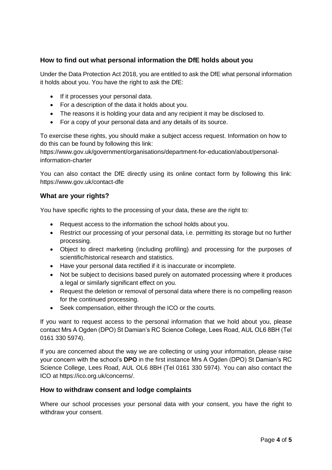# **How to find out what personal information the DfE holds about you**

Under the Data Protection Act 2018, you are entitled to ask the DfE what personal information it holds about you. You have the right to ask the DfE:

- If it processes your personal data.
- For a description of the data it holds about you.
- The reasons it is holding your data and any recipient it may be disclosed to.
- For a copy of your personal data and any details of its source.

To exercise these rights, you should make a subject access request. Information on how to do this can be found by following this link:

[https://www.gov.uk/government/organisations/department-for-education/about/personal](https://www.gov.uk/government/organisations/department-for-education/about/personal-information-charter)[information-charter](https://www.gov.uk/government/organisations/department-for-education/about/personal-information-charter)

You can also contact the DfE directly using its online contact form by following this link: <https://www.gov.uk/contact-dfe>

### **What are your rights?**

You have specific rights to the processing of your data, these are the right to:

- Request access to the information the school holds about you.
- Restrict our processing of your personal data, i.e. permitting its storage but no further processing.
- Object to direct marketing (including profiling) and processing for the purposes of scientific/historical research and statistics.
- Have your personal data rectified if it is inaccurate or incomplete.
- Not be subject to decisions based purely on automated processing where it produces a legal or similarly significant effect on you.
- Request the deletion or removal of personal data where there is no compelling reason for the continued processing.
- Seek compensation, either through the ICO or the courts.

If you want to request access to the personal information that we hold about you, please contact Mrs A Ogden (DPO) St Damian's RC Science College, Lees Road, AUL OL6 8BH (Tel 0161 330 5974).

If you are concerned about the way we are collecting or using your information, please raise your concern with the school's **DPO** in the first instance Mrs A Ogden (DPO) St Damian's RC Science College, Lees Road, AUL OL6 8BH (Tel 0161 330 5974). You can also contact the ICO at [https://ico.org.uk/concerns/.](https://ico.org.uk/concerns/)

### **How to withdraw consent and lodge complaints**

Where our school processes your personal data with your consent, you have the right to withdraw your consent.